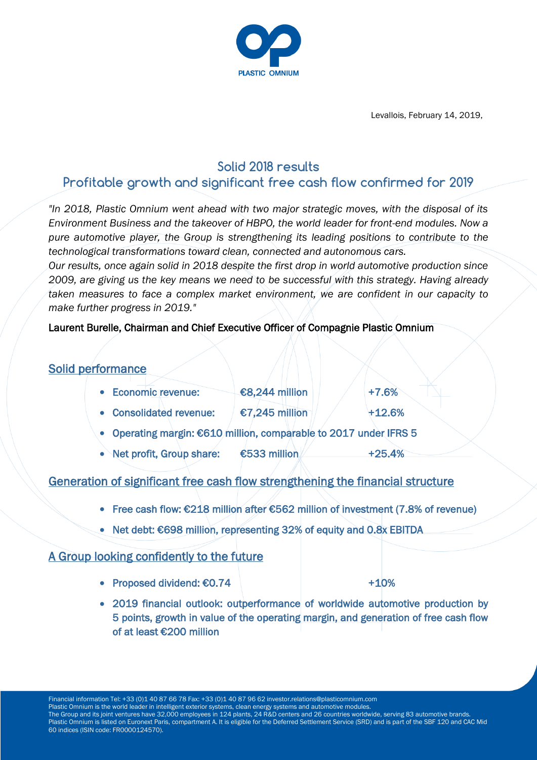

Levallois, February 14, 2019,

# **Solid 2018 results**

# **Profitable growth and significant free cash flow confirmed for 2019**

*"In 2018, Plastic Omnium went ahead with two major strategic moves, with the disposal of its Environment Business and the takeover of HBPO, the world leader for front-end modules. Now a pure automotive player, the Group is strengthening its leading positions to contribute to the technological transformations toward clean, connected and autonomous cars.* 

*Our results, once again solid in 2018 despite the first drop in world automotive production since 2009, are giving us the key means we need to be successful with this strategy. Having already taken measures to face a complex market environment, we are confident in our capacity to make further progress in 2019."*

## Laurent Burelle, Chairman and Chief Executive Officer of Compagnie Plastic Omnium

## Solid performance

| • Economic revenue:                                               | €8,244 million | $+7.6%$  |
|-------------------------------------------------------------------|----------------|----------|
| • Consolidated revenue:                                           | €7,245 million | $+12.6%$ |
| • Operating margin: €610 million, comparable to 2017 under IFRS 5 |                |          |
| • Net profit, Group share:                                        | €533 million   | $+25.4%$ |

# Generation of significant free cash flow strengthening the financial structure

- Free cash flow: €218 million after €562 million of investment (7.8% of revenue)
- Net debt: €698 million, representing 32% of equity and 0.8x EBITDA

## A Group looking confidently to the future

• Proposed dividend:  $€0.74$  +10%

 2019 financial outlook: outperformance of worldwide automotive production by 5 points, growth in value of the operating margin, and generation of free cash flow of at least €200 million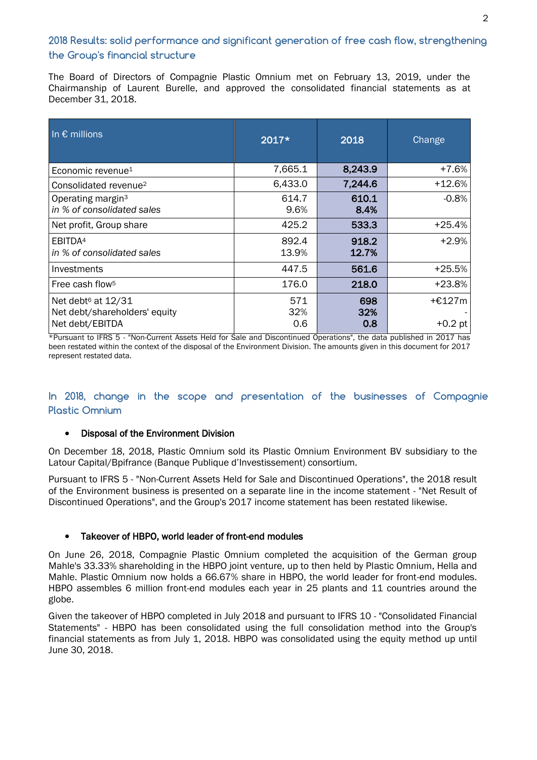## **2018 Results: solid performance and significant generation of free cash flow, strengthening the Group's financial structure**

The Board of Directors of Compagnie Plastic Omnium met on February 13, 2019, under the Chairmanship of Laurent Burelle, and approved the consolidated financial statements as at December 31, 2018.

| In $\epsilon$ millions                                                             | 2017*             | 2018              | Change              |
|------------------------------------------------------------------------------------|-------------------|-------------------|---------------------|
| Economic revenue <sup>1</sup>                                                      | 7,665.1           | 8,243.9           | +7.6%               |
| Consolidated revenue <sup>2</sup>                                                  | 6,433.0           | 7,244.6           | +12.6%              |
| Operating margin <sup>3</sup><br>in % of consolidated sales                        | 614.7<br>9.6%     | 610.1<br>8.4%     | $-0.8%$             |
| Net profit, Group share                                                            | 425.2             | 533.3             | +25.4%              |
| EBITDA <sup>4</sup><br>in % of consolidated sales                                  | 892.4<br>13.9%    | 918.2<br>12.7%    | $+2.9%$             |
| Investments                                                                        | 447.5             | 561.6             | $+25.5%$            |
| Free cash flow <sup>5</sup>                                                        | 176.0             | 218.0             | +23.8%              |
| Net debt <sup>6</sup> at 12/31<br>Net debt/shareholders' equity<br>Net debt/EBITDA | 571<br>32%<br>0.6 | 698<br>32%<br>0.8 | +€127m<br>$+0.2$ pt |

\*Pursuant to IFRS 5 - "Non-Current Assets Held for Sale and Discontinued Operations", the data published in 2017 has been restated within the context of the disposal of the Environment Division. The amounts given in this document for 2017 represent restated data.

## **In 2018, change in the scope and presentation of the businesses of Compagnie Plastic Omnium**

#### • Disposal of the Environment Division

On December 18, 2018, Plastic Omnium sold its Plastic Omnium Environment BV subsidiary to the Latour Capital/Bpifrance (Banque Publique d'Investissement) consortium.

Pursuant to IFRS 5 - "Non-Current Assets Held for Sale and Discontinued Operations", the 2018 result of the Environment business is presented on a separate line in the income statement - "Net Result of Discontinued Operations", and the Group's 2017 income statement has been restated likewise.

## Takeover of HBPO, world leader of front-end modules

On June 26, 2018, Compagnie Plastic Omnium completed the acquisition of the German group Mahle's 33.33% shareholding in the HBPO joint venture, up to then held by Plastic Omnium, Hella and Mahle. Plastic Omnium now holds a 66.67% share in HBPO, the world leader for front-end modules. HBPO assembles 6 million front-end modules each year in 25 plants and 11 countries around the globe.

Given the takeover of HBPO completed in July 2018 and pursuant to IFRS 10 - "Consolidated Financial Statements" - HBPO has been consolidated using the full consolidation method into the Group's financial statements as from July 1, 2018. HBPO was consolidated using the equity method up until June 30, 2018.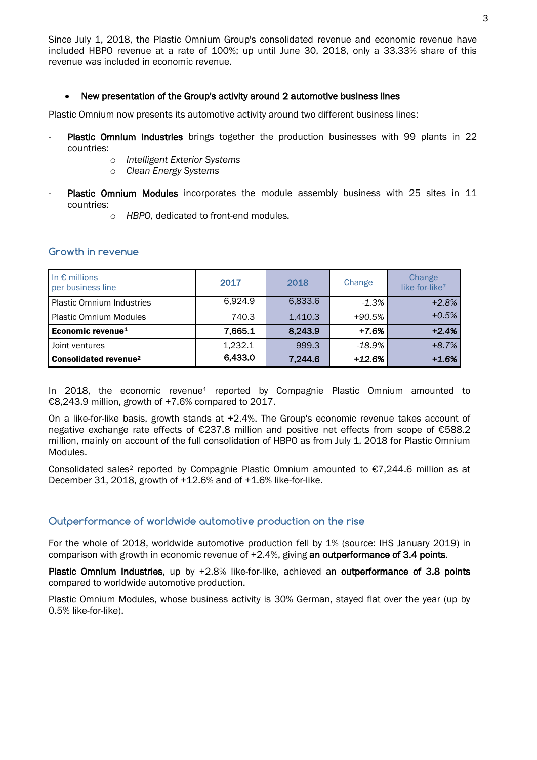Since July 1, 2018, the Plastic Omnium Group's consolidated revenue and economic revenue have included HBPO revenue at a rate of 100%; up until June 30, 2018, only a 33.33% share of this revenue was included in economic revenue.

#### New presentation of the Group's activity around 2 automotive business lines

Plastic Omnium now presents its automotive activity around two different business lines:

- Plastic Omnium Industries brings together the production businesses with 99 plants in 22 countries:
	- o *Intelligent Exterior Systems*
	- o *Clean Energy Systems*
- Plastic Omnium Modules incorporates the module assembly business with 25 sites in 11 countries:
	- o *HBPO,* dedicated to front-end modules*.*

#### **Growth in revenue**

| In $\epsilon$ millions<br>per business line | 2017    | 2018    | Change   | Change<br>like-for-like <sup>7</sup> |
|---------------------------------------------|---------|---------|----------|--------------------------------------|
| <b>Plastic Omnium Industries</b>            | 6.924.9 | 6,833.6 | $-1.3\%$ | $+2.8%$                              |
| <b>Plastic Omnium Modules</b>               | 740.3   | 1,410.3 | $+90.5%$ | $+0.5%$                              |
| Economic revenue <sup>1</sup>               | 7,665.1 | 8,243.9 | $+7.6%$  | $+2.4%$                              |
| Joint ventures                              | 1,232.1 | 999.3   | $-18.9%$ | $+8.7%$                              |
| Consolidated revenue <sup>2</sup>           | 6,433.0 | 7,244.6 | $+12.6%$ | $+1.6%$                              |

In 2018, the economic revenue<sup>1</sup> reported by Compagnie Plastic Omnium amounted to €8,243.9 million, growth of +7.6% compared to 2017.

On a like-for-like basis, growth stands at +2.4%. The Group's economic revenue takes account of negative exchange rate effects of €237.8 million and positive net effects from scope of €588.2 million, mainly on account of the full consolidation of HBPO as from July 1, 2018 for Plastic Omnium Modules.

Consolidated sales<sup>2</sup> reported by Compagnie Plastic Omnium amounted to  $\epsilon$ 7,244.6 million as at December 31, 2018, growth of +12.6% and of +1.6% like-for-like.

### **Outperformance of worldwide automotive production on the rise**

For the whole of 2018, worldwide automotive production fell by 1% (source: IHS January 2019) in comparison with growth in economic revenue of +2.4%, giving an outperformance of 3.4 points.

Plastic Omnium Industries, up by +2.8% like-for-like, achieved an outperformance of 3.8 points compared to worldwide automotive production.

Plastic Omnium Modules, whose business activity is 30% German, stayed flat over the year (up by 0.5% like-for-like).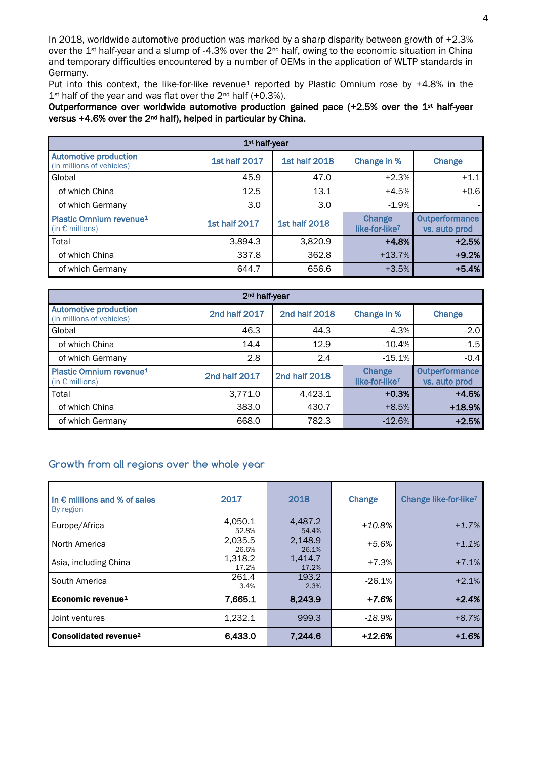In 2018, worldwide automotive production was marked by a sharp disparity between growth of +2.3% over the 1<sup>st</sup> half-year and a slump of -4.3% over the 2<sup>nd</sup> half, owing to the economic situation in China and temporary difficulties encountered by a number of OEMs in the application of WLTP standards in Germany.

Put into this context, the like-for-like revenue<sup>1</sup> reported by Plastic Omnium rose by +4.8% in the 1<sup>st</sup> half of the year and was flat over the 2<sup>nd</sup> half (+0.3%).

Outperformance over worldwide automotive production gained pace (+2.5% over the 1<sup>st</sup> half-year versus +4.6% over the 2nd half), helped in particular by China.

| 1 <sup>st</sup> half-year                                             |                      |                      |                                      |                                 |
|-----------------------------------------------------------------------|----------------------|----------------------|--------------------------------------|---------------------------------|
| <b>Automotive production</b><br>(in millions of vehicles)             | <b>1st half 2017</b> | <b>1st half 2018</b> | Change in %                          | Change                          |
| Global                                                                | 45.9                 | 47.0                 | $+2.3%$                              | $+1.1$                          |
| of which China                                                        | 12.5                 | 13.1                 | $+4.5%$                              | $+0.6$                          |
| of which Germany                                                      | 3.0                  | 3.0                  | $-1.9%$                              |                                 |
| <b>Plastic Omnium revenue<sup>1</sup></b><br>(in $\epsilon$ millions) | <b>1st half 2017</b> | <b>1st half 2018</b> | Change<br>like-for-like <sup>7</sup> | Outperformance<br>vs. auto prod |
| Total                                                                 | 3,894.3              | 3,820.9              | $+4.8%$                              | $+2.5%$                         |
| of which China                                                        | 337.8                | 362.8                | $+13.7%$                             | $+9.2%$                         |
| of which Germany                                                      | 644.7                | 656.6                | $+3.5%$                              | $+5.4%$                         |

| 2 <sup>nd</sup> half-year                                       |               |               |                                      |                                 |
|-----------------------------------------------------------------|---------------|---------------|--------------------------------------|---------------------------------|
| <b>Automotive production</b><br>(in millions of vehicles)       | 2nd half 2017 | 2nd half 2018 | Change in %                          | Change                          |
| Global                                                          | 46.3          | 44.3          | $-4.3%$                              | $-2.0$                          |
| of which China                                                  | 14.4          | 12.9          | $-10.4%$                             | $-1.5$                          |
| of which Germany                                                | 2.8           | 2.4           | $-15.1%$                             | $-0.4$                          |
| Plastic Omnium revenue <sup>1</sup><br>(in $\epsilon$ millions) | 2nd half 2017 | 2nd half 2018 | Change<br>like-for-like <sup>7</sup> | Outperformance<br>vs. auto prod |
| Total                                                           | 3,771.0       | 4,423.1       | $+0.3%$                              | $+4.6%$                         |
| of which China                                                  | 383.0         | 430.7         | $+8.5%$                              | +18.9%                          |
| of which Germany                                                | 668.0         | 782.3         | $-12.6%$                             | $+2.5%$                         |

## **Growth from all regions over the whole year**

| In $\epsilon$ millions and % of sales<br>By region | 2017             | 2018             | Change    | Change like-for-like <sup>7</sup> |
|----------------------------------------------------|------------------|------------------|-----------|-----------------------------------|
| Europe/Africa                                      | 4.050.1<br>52.8% | 4.487.2<br>54.4% | $+10.8\%$ | $+1.7%$                           |
| North America                                      | 2,035.5<br>26.6% | 2,148.9<br>26.1% | $+5.6%$   | $+1.1%$                           |
| Asia, including China                              | 1,318.2<br>17.2% | 1,414.7<br>17.2% | $+7.3%$   | $+7.1%$                           |
| South America                                      | 261.4<br>3.4%    | 193.2<br>2.3%    | $-26.1%$  | $+2.1%$                           |
| Economic revenue <sup>1</sup>                      | 7,665.1          | 8,243.9          | $+7.6%$   | $+2.4%$                           |
| Joint ventures                                     | 1,232.1          | 999.3            | $-18.9%$  | $+8.7%$                           |
| Consolidated revenue <sup>2</sup>                  | 6,433.0          | 7,244.6          | +12.6%    | $+1.6%$                           |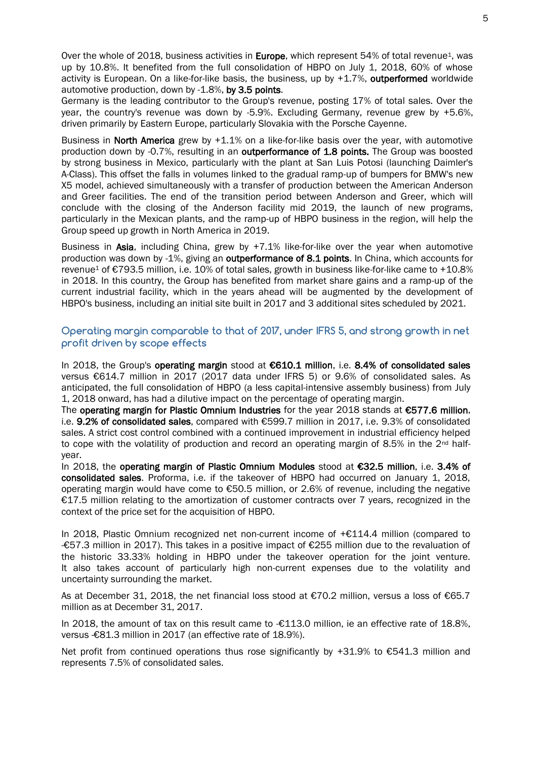Germany is the leading contributor to the Group's revenue, posting 17% of total sales. Over the year, the country's revenue was down by -5.9%. Excluding Germany, revenue grew by +5.6%, driven primarily by Eastern Europe, particularly Slovakia with the Porsche Cayenne.

Business in North America grew by +1.1% on a like-for-like basis over the year, with automotive production down by -0.7%, resulting in an outperformance of 1.8 points. The Group was boosted by strong business in Mexico, particularly with the plant at San Luis Potosi (launching Daimler's A-Class). This offset the falls in volumes linked to the gradual ramp-up of bumpers for BMW's new X5 model, achieved simultaneously with a transfer of production between the American Anderson and Greer facilities. The end of the transition period between Anderson and Greer, which will conclude with the closing of the Anderson facility mid 2019, the launch of new programs, particularly in the Mexican plants, and the ramp-up of HBPO business in the region, will help the Group speed up growth in North America in 2019.

Business in Asia, including China, grew by +7.1% like-for-like over the year when automotive production was down by -1%, giving an outperformance of 8.1 points. In China, which accounts for revenue<sup>1</sup> of €793.5 million, i.e. 10% of total sales, growth in business like-for-like came to +10.8% in 2018. In this country, the Group has benefited from market share gains and a ramp-up of the current industrial facility, which in the years ahead will be augmented by the development of HBPO's business, including an initial site built in 2017 and 3 additional sites scheduled by 2021.

## **Operating margin comparable to that of 2017, under IFRS 5, and strong growth in net profit driven by scope effects**

In 2018, the Group's operating margin stood at €610.1 million, i.e. 8.4% of consolidated sales versus €614.7 million in 2017 (2017 data under IFRS 5) or 9.6% of consolidated sales. As anticipated, the full consolidation of HBPO (a less capital-intensive assembly business) from July 1, 2018 onward, has had a dilutive impact on the percentage of operating margin.

The operating margin for Plastic Omnium Industries for the year 2018 stands at €577.6 million, i.e. 9.2% of consolidated sales, compared with €599.7 million in 2017, i.e. 9.3% of consolidated sales. A strict cost control combined with a continued improvement in industrial efficiency helped to cope with the volatility of production and record an operating margin of 8.5% in the  $2^{nd}$  halfyear.

In 2018, the operating margin of Plastic Omnium Modules stood at €32.5 million, i.e. 3.4% of consolidated sales. Proforma, i.e. if the takeover of HBPO had occurred on January 1, 2018, operating margin would have come to €50.5 million, or 2.6% of revenue, including the negative €17.5 million relating to the amortization of customer contracts over 7 years, recognized in the context of the price set for the acquisition of HBPO.

In 2018, Plastic Omnium recognized net non-current income of +€114.4 million (compared to -€57.3 million in 2017). This takes in a positive impact of €255 million due to the revaluation of the historic 33.33% holding in HBPO under the takeover operation for the joint venture. It also takes account of particularly high non-current expenses due to the volatility and uncertainty surrounding the market.

As at December 31, 2018, the net financial loss stood at €70.2 million, versus a loss of €65.7 million as at December 31, 2017.

In 2018, the amount of tax on this result came to -€113.0 million, ie an effective rate of 18.8%, versus -€81.3 million in 2017 (an effective rate of 18.9%).

Net profit from continued operations thus rose significantly by +31.9% to €541.3 million and represents 7.5% of consolidated sales.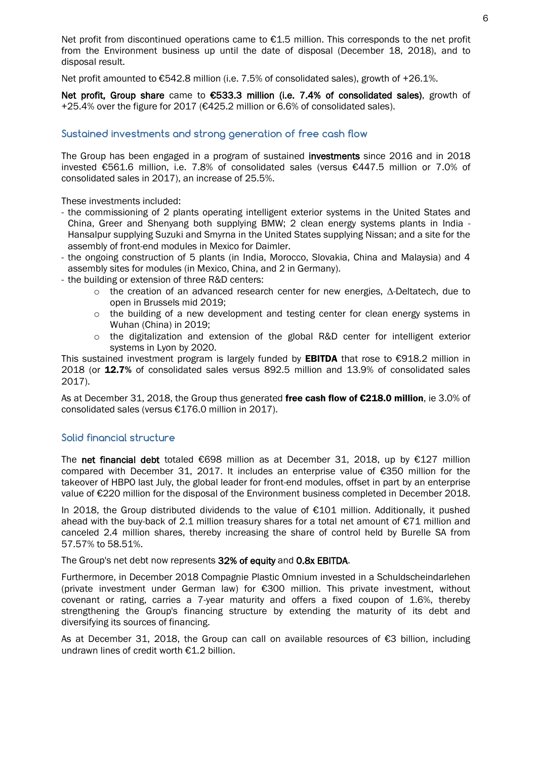Net profit from discontinued operations came to  $E1.5$  million. This corresponds to the net profit from the Environment business up until the date of disposal (December 18, 2018), and to disposal result.

Net profit amounted to €542.8 million (i.e. 7.5% of consolidated sales), growth of +26.1%.

Net profit. Group share came to €533.3 million (i.e. 7.4% of consolidated sales), growth of +25.4% over the figure for 2017 (€425.2 million or 6.6% of consolidated sales).

### **Sustained investments and strong generation of free cash flow**

The Group has been engaged in a program of sustained investments since 2016 and in 2018 invested €561.6 million, i.e. 7.8% of consolidated sales (versus €447.5 million or 7.0% of consolidated sales in 2017), an increase of 25.5%.

These investments included:

- the commissioning of 2 plants operating intelligent exterior systems in the United States and China, Greer and Shenyang both supplying BMW; 2 clean energy systems plants in India - Hansalpur supplying Suzuki and Smyrna in the United States supplying Nissan; and a site for the assembly of front-end modules in Mexico for Daimler.
- the ongoing construction of 5 plants (in India, Morocco, Slovakia, China and Malaysia) and 4 assembly sites for modules (in Mexico, China, and 2 in Germany).
- the building or extension of three R&D centers:
	- o the creation of an advanced research center for new energies, Δ-Deltatech, due to open in Brussels mid 2019;
	- $\circ$  the building of a new development and testing center for clean energy systems in Wuhan (China) in 2019;
	- $\circ$  the digitalization and extension of the global R&D center for intelligent exterior systems in Lyon by 2020.

This sustained investment program is largely funded by **EBITDA** that rose to  $\epsilon$ 918.2 million in 2018 (or 12.7% of consolidated sales versus 892.5 million and 13.9% of consolidated sales 2017).

As at December 31, 2018, the Group thus generated free cash flow of €218.0 million, ie 3.0% of consolidated sales (versus €176.0 million in 2017).

#### **Solid financial structure**

The net financial debt totaled  $\epsilon$ 698 million as at December 31, 2018, up by  $\epsilon$ 127 million compared with December 31, 2017. It includes an enterprise value of €350 million for the takeover of HBPO last July, the global leader for front-end modules, offset in part by an enterprise value of €220 million for the disposal of the Environment business completed in December 2018.

In 2018, the Group distributed dividends to the value of €101 million. Additionally, it pushed ahead with the buy-back of 2.1 million treasury shares for a total net amount of €71 million and canceled 2.4 million shares, thereby increasing the share of control held by Burelle SA from 57.57% to 58.51%.

The Group's net debt now represents 32% of equity and 0.8x EBITDA.

Furthermore, in December 2018 Compagnie Plastic Omnium invested in a Schuldscheindarlehen (private investment under German law) for €300 million. This private investment, without covenant or rating, carries a 7-year maturity and offers a fixed coupon of 1.6%, thereby strengthening the Group's financing structure by extending the maturity of its debt and diversifying its sources of financing.

As at December 31, 2018, the Group can call on available resources of €3 billion, including undrawn lines of credit worth €1.2 billion.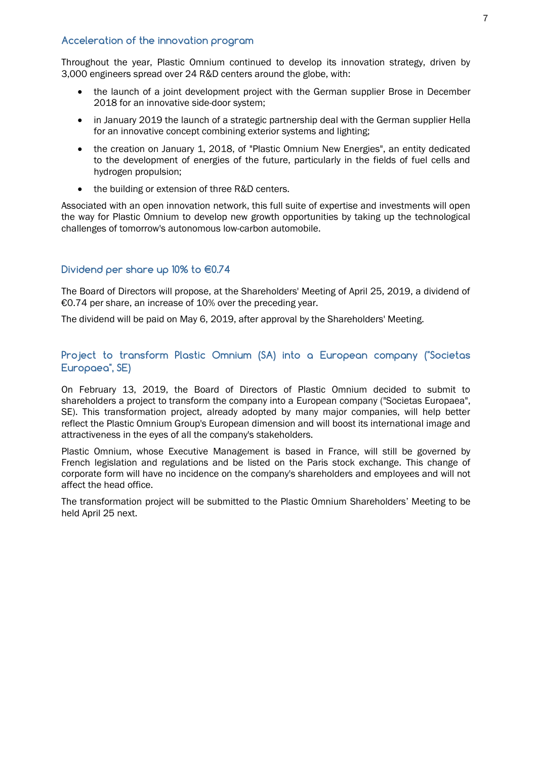### **Acceleration of the innovation program**

Throughout the year, Plastic Omnium continued to develop its innovation strategy, driven by 3,000 engineers spread over 24 R&D centers around the globe, with:

- the launch of a joint development project with the German supplier Brose in December 2018 for an innovative side-door system;
- in January 2019 the launch of a strategic partnership deal with the German supplier Hella for an innovative concept combining exterior systems and lighting;
- the creation on January 1, 2018, of "Plastic Omnium New Energies", an entity dedicated to the development of energies of the future, particularly in the fields of fuel cells and hydrogen propulsion;
- the building or extension of three R&D centers.

Associated with an open innovation network, this full suite of expertise and investments will open the way for Plastic Omnium to develop new growth opportunities by taking up the technological challenges of tomorrow's autonomous low-carbon automobile.

## **Dividend per share up 10% to €0.74**

The Board of Directors will propose, at the Shareholders' Meeting of April 25, 2019, a dividend of €0.74 per share, an increase of 10% over the preceding year.

The dividend will be paid on May 6, 2019, after approval by the Shareholders' Meeting.

## **Project to transform Plastic Omnium (SA) into a European company ("Societas Europaea", SE)**

On February 13, 2019, the Board of Directors of Plastic Omnium decided to submit to shareholders a project to transform the company into a European company ("Societas Europaea", SE). This transformation project, already adopted by many major companies, will help better reflect the Plastic Omnium Group's European dimension and will boost its international image and attractiveness in the eyes of all the company's stakeholders.

Plastic Omnium, whose Executive Management is based in France, will still be governed by French legislation and regulations and be listed on the Paris stock exchange. This change of corporate form will have no incidence on the company's shareholders and employees and will not affect the head office.

The transformation project will be submitted to the Plastic Omnium Shareholders' Meeting to be held April 25 next.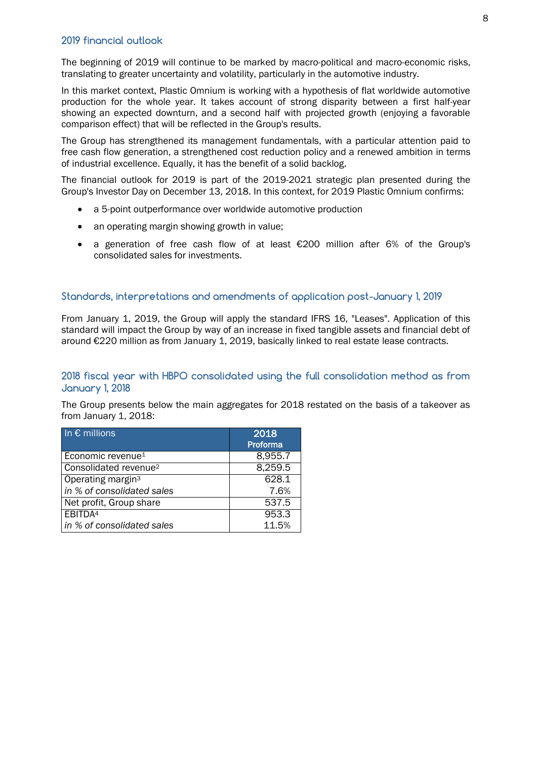The beginning of 2019 will continue to be marked by macro-political and macro-economic risks, translating to greater uncertainty and volatility, particularly in the automotive industry.

In this market context, Plastic Omnium is working with a hypothesis of flat worldwide automotive production for the whole year. It takes account of strong disparity between a first half-year showing an expected downturn, and a second half with projected growth (enjoying a favorable comparison effect) that will be reflected in the Group's results.

The Group has strengthened its management fundamentals, with a particular attention paid to free cash flow generation, a strengthened cost reduction policy and a renewed ambition in terms of industrial excellence. Equally, it has the benefit of a solid backlog.

The financial outlook for 2019 is part of the 2019-2021 strategic plan presented during the Group's Investor Day on December 13, 2018. In this context, for 2019 Plastic Omnium confirms:

- a 5-point outperformance over worldwide automotive production
- an operating margin showing growth in value;
- a generation of free cash flow of at least €200 million after 6% of the Group's consolidated sales for investments.

## **Standards, interpretations and amendments of application post-January 1, 2019**

From January 1, 2019, the Group will apply the standard IFRS 16, "Leases". Application of this standard will impact the Group by way of an increase in fixed tangible assets and financial debt of around €220 million as from January 1, 2019, basically linked to real estate lease contracts.

## **2018 fiscal year with HBPO consolidated using the full consolidation method as from January 1, 2018**

The Group presents below the main aggregates for 2018 restated on the basis of a takeover as from January 1, 2018:

| In $\epsilon$ millions            | 2018     |
|-----------------------------------|----------|
|                                   | Proforma |
| Economic revenue <sup>1</sup>     | 8,955.7  |
| Consolidated revenue <sup>2</sup> | 8,259.5  |
| Operating margin <sup>3</sup>     | 628.1    |
| in % of consolidated sales        | 7.6%     |
| Net profit, Group share           | 537.5    |
| EBITDA <sup>4</sup>               | 953.3    |
| in % of consolidated sales        | 11.5%    |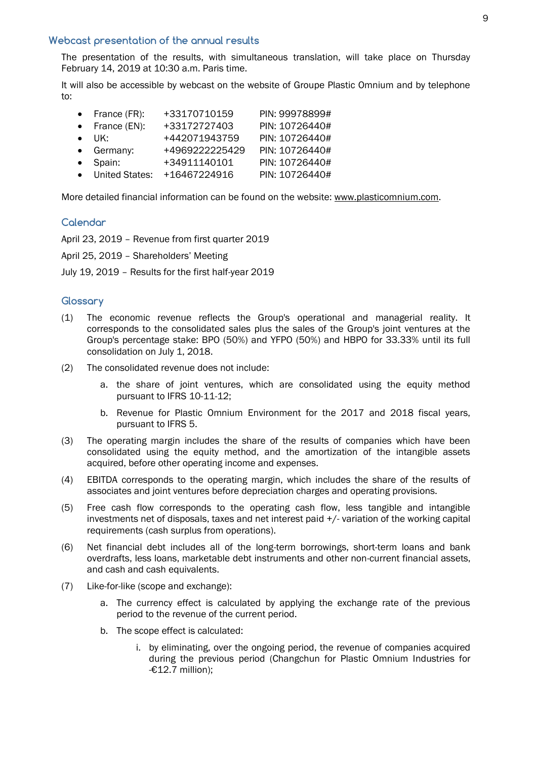#### **Webcast presentation of the annual results**

The presentation of the results, with simultaneous translation, will take place on Thursday February 14, 2019 at 10:30 a.m. Paris time.

It will also be accessible by webcast on the website of Groupe Plastic Omnium and by telephone to:

| France (FR):           | +33170710159   | PIN: 99978899# |
|------------------------|----------------|----------------|
| $\bullet$ France (EN): | +33172727403   | PIN: 10726440# |
| $\bullet$ UK:          | +442071943759  | PIN: 10726440# |
| • Germany:             | +4969222225429 | PIN: 10726440# |
| • Spain:               | +34911140101   | PIN: 10726440# |
| • United States:       | +16467224916   | PIN: 10726440# |

More detailed financial information can be found on the website: www.plasticomnium.com.

#### **Calendar**

April 23, 2019 – Revenue from first quarter 2019

April 25, 2019 – Shareholders' Meeting

July 19, 2019 – Results for the first half-year 2019

#### **Glossary**

- (1) The economic revenue reflects the Group's operational and managerial reality. It corresponds to the consolidated sales plus the sales of the Group's joint ventures at the Group's percentage stake: BPO (50%) and YFPO (50%) and HBPO for 33.33% until its full consolidation on July 1, 2018.
- (2) The consolidated revenue does not include:
	- a. the share of joint ventures, which are consolidated using the equity method pursuant to IFRS 10-11-12;
	- b. Revenue for Plastic Omnium Environment for the 2017 and 2018 fiscal years, pursuant to IFRS 5.
- (3) The operating margin includes the share of the results of companies which have been consolidated using the equity method, and the amortization of the intangible assets acquired, before other operating income and expenses.
- (4) EBITDA corresponds to the operating margin, which includes the share of the results of associates and joint ventures before depreciation charges and operating provisions.
- (5) Free cash flow corresponds to the operating cash flow, less tangible and intangible investments net of disposals, taxes and net interest paid +/- variation of the working capital requirements (cash surplus from operations).
- (6) Net financial debt includes all of the long-term borrowings, short-term loans and bank overdrafts, less loans, marketable debt instruments and other non-current financial assets, and cash and cash equivalents.
- (7) Like-for-like (scope and exchange):
	- a. The currency effect is calculated by applying the exchange rate of the previous period to the revenue of the current period.
	- b. The scope effect is calculated:
		- i. by eliminating, over the ongoing period, the revenue of companies acquired during the previous period (Changchun for Plastic Omnium Industries for -€12.7 million);